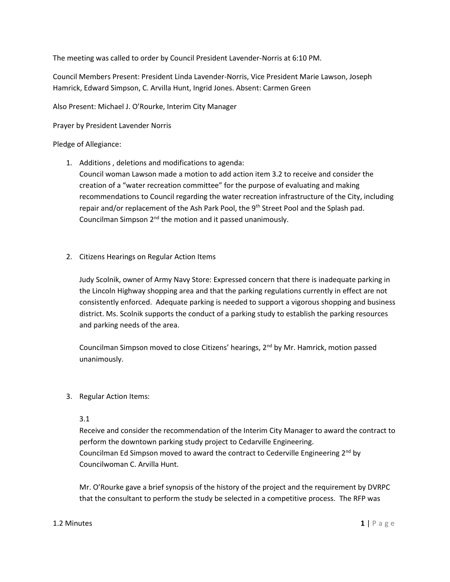The meeting was called to order by Council President Lavender-Norris at 6:10 PM.

Council Members Present: President Linda Lavender-Norris, Vice President Marie Lawson, Joseph Hamrick, Edward Simpson, C. Arvilla Hunt, Ingrid Jones. Absent: Carmen Green

Also Present: Michael J. O'Rourke, Interim City Manager

Prayer by President Lavender Norris

## Pledge of Allegiance:

1. Additions , deletions and modifications to agenda:

Council woman Lawson made a motion to add action item 3.2 to receive and consider the creation of a "water recreation committee" for the purpose of evaluating and making recommendations to Council regarding the water recreation infrastructure of the City, including repair and/or replacement of the Ash Park Pool, the 9<sup>th</sup> Street Pool and the Splash pad. Councilman Simpson  $2^{nd}$  the motion and it passed unanimously.

2. Citizens Hearings on Regular Action Items

Judy Scolnik, owner of Army Navy Store: Expressed concern that there is inadequate parking in the Lincoln Highway shopping area and that the parking regulations currently in effect are not consistently enforced. Adequate parking is needed to support a vigorous shopping and business district. Ms. Scolnik supports the conduct of a parking study to establish the parking resources and parking needs of the area.

Councilman Simpson moved to close Citizens' hearings, 2<sup>nd</sup> by Mr. Hamrick, motion passed unanimously.

3. Regular Action Items:

## 3.1

Receive and consider the recommendation of the Interim City Manager to award the contract to perform the downtown parking study project to Cedarville Engineering. Councilman Ed Simpson moved to award the contract to Cederville Engineering  $2^{nd}$  by Councilwoman C. Arvilla Hunt.

Mr. O'Rourke gave a brief synopsis of the history of the project and the requirement by DVRPC that the consultant to perform the study be selected in a competitive process. The RFP was

## **1.2 Minutes 1 | P** a g e